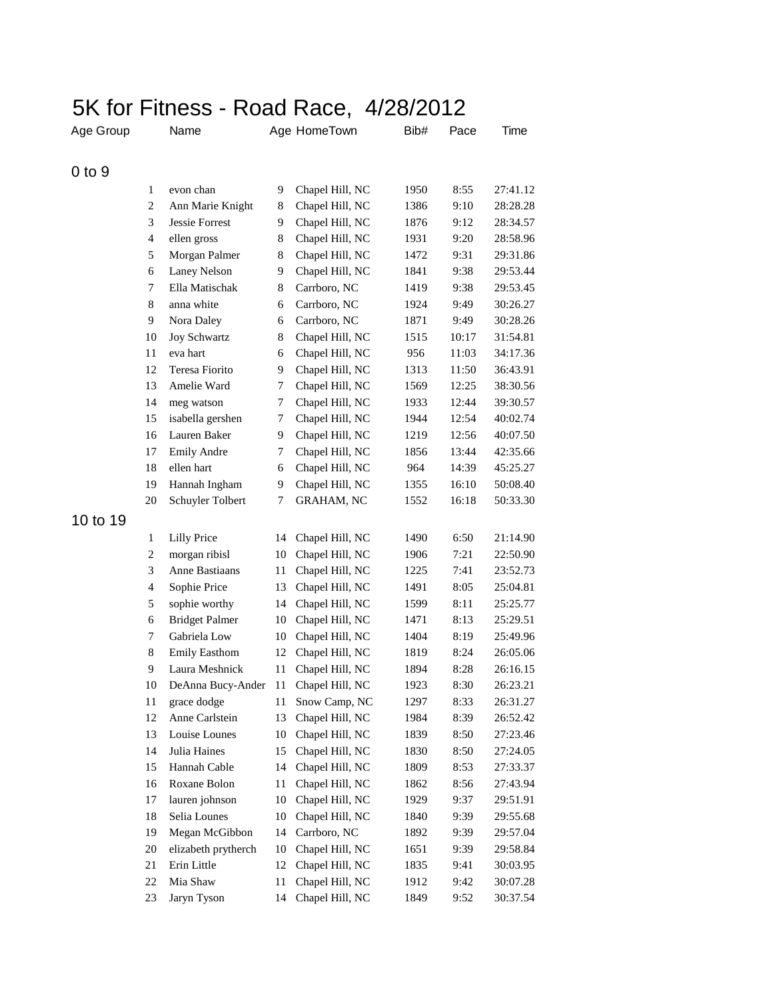|            |                | 5K for Fitness - Road Race, 4/28/2012 |    |                   |      |       |          |
|------------|----------------|---------------------------------------|----|-------------------|------|-------|----------|
| Age Group  |                | Name                                  |    | Age HomeTown      | Bib# | Pace  | Time     |
| $0$ to $9$ |                |                                       |    |                   |      |       |          |
|            | 1              | evon chan                             | 9  | Chapel Hill, NC   | 1950 | 8:55  | 27:41.12 |
|            | $\overline{c}$ | Ann Marie Knight                      | 8  | Chapel Hill, NC   | 1386 | 9:10  | 28:28.28 |
|            | 3              | Jessie Forrest                        | 9  | Chapel Hill, NC   | 1876 | 9:12  | 28:34.57 |
|            | $\overline{4}$ | ellen gross                           | 8  | Chapel Hill, NC   | 1931 | 9:20  | 28:58.96 |
|            | 5              | Morgan Palmer                         | 8  | Chapel Hill, NC   | 1472 | 9:31  | 29:31.86 |
|            | 6              | <b>Laney Nelson</b>                   | 9  | Chapel Hill, NC   | 1841 | 9:38  | 29:53.44 |
|            | 7              | Ella Matischak                        | 8  | Carrboro, NC      | 1419 | 9:38  | 29:53.45 |
|            | 8              | anna white                            | 6  | Carrboro, NC      | 1924 | 9:49  | 30:26.27 |
|            | 9              | Nora Daley                            | 6  | Carrboro, NC      | 1871 | 9:49  | 30:28.26 |
|            | 10             | Joy Schwartz                          | 8  | Chapel Hill, NC   | 1515 | 10:17 | 31:54.81 |
|            | 11             | eva hart                              | 6  | Chapel Hill, NC   | 956  | 11:03 | 34:17.36 |
|            | 12             | Teresa Fiorito                        | 9  | Chapel Hill, NC   | 1313 | 11:50 | 36:43.91 |
|            | 13             | Amelie Ward                           | 7  | Chapel Hill, NC   | 1569 | 12:25 | 38:30.56 |
|            | 14             | meg watson                            | 7  | Chapel Hill, NC   | 1933 | 12:44 | 39:30.57 |
|            | 15             | isabella gershen                      | 7  | Chapel Hill, NC   | 1944 | 12:54 | 40:02.74 |
|            | 16             | Lauren Baker                          | 9  | Chapel Hill, NC   | 1219 | 12:56 | 40:07.50 |
|            | 17             | <b>Emily Andre</b>                    | 7  | Chapel Hill, NC   | 1856 | 13:44 | 42:35.66 |
|            | 18             | ellen hart                            | 6  | Chapel Hill, NC   | 964  | 14:39 | 45:25.27 |
|            | 19             | Hannah Ingham                         | 9  | Chapel Hill, NC   | 1355 | 16:10 | 50:08.40 |
|            | 20             | Schuyler Tolbert                      | 7  | <b>GRAHAM, NC</b> | 1552 | 16:18 | 50:33.30 |
| 10 to 19   |                |                                       |    |                   |      |       |          |
|            | 1              | <b>Lilly Price</b>                    | 14 | Chapel Hill, NC   | 1490 | 6:50  | 21:14.90 |
|            | $\overline{c}$ | morgan ribisl                         | 10 | Chapel Hill, NC   | 1906 | 7:21  | 22:50.90 |
|            | 3              | Anne Bastiaans                        | 11 | Chapel Hill, NC   | 1225 | 7:41  | 23:52.73 |
|            | $\overline{4}$ | Sophie Price                          | 13 | Chapel Hill, NC   | 1491 | 8:05  | 25:04.81 |
|            | 5              | sophie worthy                         | 14 | Chapel Hill, NC   | 1599 | 8:11  | 25:25.77 |
|            | 6              | <b>Bridget Palmer</b>                 | 10 | Chapel Hill, NC   | 1471 | 8:13  | 25:29.51 |
|            | 7              | Gabriela Low                          | 10 | Chapel Hill, NC   | 1404 | 8:19  | 25:49.96 |
|            | $\,$ 8 $\,$    | <b>Emily Easthom</b>                  | 12 | Chapel Hill, NC   | 1819 | 8:24  | 26:05.06 |
|            | 9              | Laura Meshnick                        | 11 | Chapel Hill, NC   | 1894 | 8:28  | 26:16.15 |
|            | 10             | DeAnna Bucy-Ander                     | 11 | Chapel Hill, NC   | 1923 | 8:30  | 26:23.21 |
|            | 11             | grace dodge                           | 11 | Snow Camp, NC     | 1297 | 8:33  | 26:31.27 |
|            | 12             | Anne Carlstein                        | 13 | Chapel Hill, NC   | 1984 | 8:39  | 26:52.42 |
|            | 13             | Louise Lounes                         | 10 | Chapel Hill, NC   | 1839 | 8:50  | 27:23.46 |
|            | 14             | Julia Haines                          | 15 | Chapel Hill, NC   | 1830 | 8:50  | 27:24.05 |
|            | 15             | Hannah Cable                          | 14 | Chapel Hill, NC   | 1809 | 8:53  | 27:33.37 |
|            | 16             | Roxane Bolon                          | 11 | Chapel Hill, NC   | 1862 | 8:56  | 27:43.94 |
|            | 17             | lauren johnson                        | 10 | Chapel Hill, NC   | 1929 | 9:37  | 29:51.91 |
|            | 18             | Selia Lounes                          | 10 | Chapel Hill, NC   | 1840 | 9:39  | 29:55.68 |
|            | 19             | Megan McGibbon                        | 14 | Carrboro, NC      | 1892 | 9:39  | 29:57.04 |
|            | 20             | elizabeth prytherch                   | 10 | Chapel Hill, NC   | 1651 | 9:39  | 29:58.84 |
|            | 21             | Erin Little                           | 12 | Chapel Hill, NC   | 1835 | 9:41  | 30:03.95 |
|            | 22             | Mia Shaw                              | 11 | Chapel Hill, NC   | 1912 | 9:42  | 30:07.28 |
|            | 23             | Jaryn Tyson                           | 14 | Chapel Hill, NC   | 1849 | 9:52  | 30:37.54 |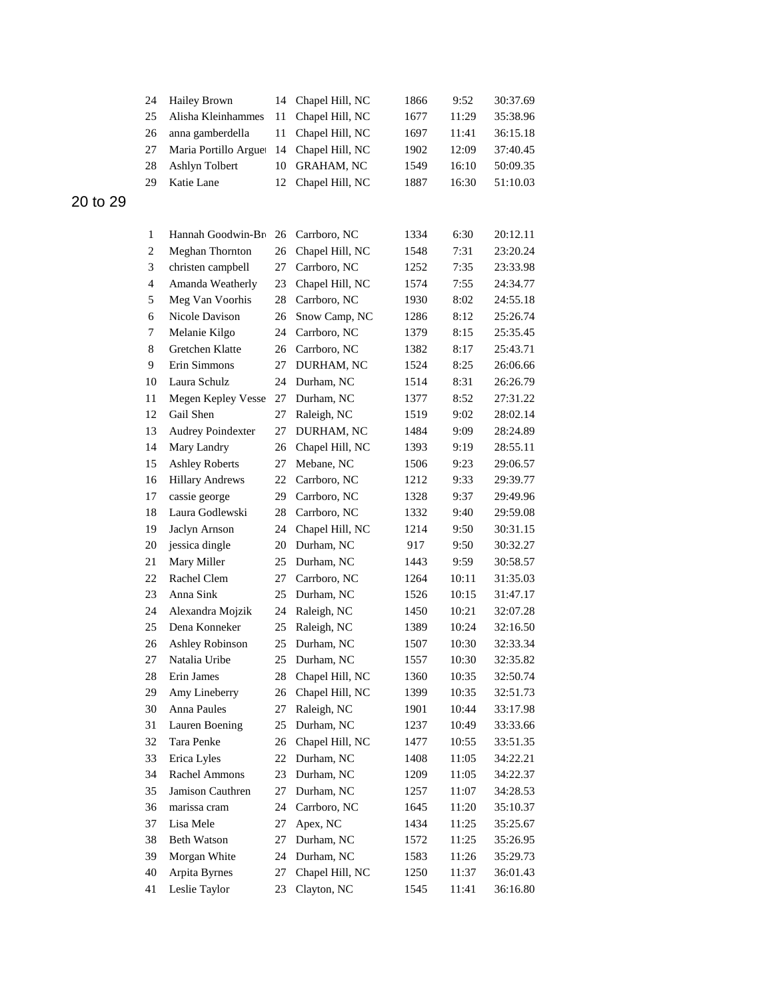|          | 24               | <b>Hailey Brown</b>      | 14 | Chapel Hill, NC   | 1866 | 9:52  | 30:37.69 |
|----------|------------------|--------------------------|----|-------------------|------|-------|----------|
|          | 25               | Alisha Kleinhammes       | 11 | Chapel Hill, NC   | 1677 | 11:29 | 35:38.96 |
|          | 26               | anna gamberdella         | 11 | Chapel Hill, NC   | 1697 | 11:41 | 36:15.18 |
|          | 27               | Maria Portillo Arguet    | 14 | Chapel Hill, NC   | 1902 | 12:09 | 37:40.45 |
|          | 28               | Ashlyn Tolbert           | 10 | <b>GRAHAM, NC</b> | 1549 | 16:10 | 50:09.35 |
|          | 29               | Katie Lane               | 12 | Chapel Hill, NC   | 1887 | 16:30 | 51:10.03 |
| 20 to 29 |                  |                          |    |                   |      |       |          |
|          |                  |                          |    |                   |      |       |          |
|          | 1                | Hannah Goodwin-Bro       | 26 | Carrboro, NC      | 1334 | 6:30  | 20:12.11 |
|          | $\boldsymbol{2}$ | Meghan Thornton          | 26 | Chapel Hill, NC   | 1548 | 7:31  | 23:20.24 |
|          | 3                | christen campbell        | 27 | Carrboro, NC      | 1252 | 7:35  | 23:33.98 |
|          | 4                | Amanda Weatherly         | 23 | Chapel Hill, NC   | 1574 | 7:55  | 24:34.77 |
|          | 5                | Meg Van Voorhis          | 28 | Carrboro, NC      | 1930 | 8:02  | 24:55.18 |
|          | 6                | Nicole Davison           | 26 | Snow Camp, NC     | 1286 | 8:12  | 25:26.74 |
|          | 7                | Melanie Kilgo            | 24 | Carrboro, NC      | 1379 | 8:15  | 25:35.45 |
|          | 8                | Gretchen Klatte          | 26 | Carrboro, NC      | 1382 | 8:17  | 25:43.71 |
|          | 9                | Erin Simmons             | 27 | DURHAM, NC        | 1524 | 8:25  | 26:06.66 |
|          | 10               | Laura Schulz             | 24 | Durham, NC        | 1514 | 8:31  | 26:26.79 |
|          | 11               | Megen Kepley Vesse       | 27 | Durham, NC        | 1377 | 8:52  | 27:31.22 |
|          | 12               | Gail Shen                | 27 | Raleigh, NC       | 1519 | 9:02  | 28:02.14 |
|          | 13               | <b>Audrey Poindexter</b> | 27 | DURHAM, NC        | 1484 | 9:09  | 28:24.89 |
|          | 14               | Mary Landry              | 26 | Chapel Hill, NC   | 1393 | 9:19  | 28:55.11 |
|          | 15               | <b>Ashley Roberts</b>    | 27 | Mebane, NC        | 1506 | 9:23  | 29:06.57 |
|          | 16               | <b>Hillary Andrews</b>   | 22 | Carrboro, NC      | 1212 | 9:33  | 29:39.77 |
|          | 17               | cassie george            | 29 | Carrboro, NC      | 1328 | 9:37  | 29:49.96 |
|          | 18               | Laura Godlewski          | 28 | Carrboro, NC      | 1332 | 9:40  | 29:59.08 |
|          | 19               | Jaclyn Arnson            | 24 | Chapel Hill, NC   | 1214 | 9:50  | 30:31.15 |
|          | $20\,$           | jessica dingle           | 20 | Durham, NC        | 917  | 9:50  | 30:32.27 |
|          | 21               | Mary Miller              | 25 | Durham, NC        | 1443 | 9:59  | 30:58.57 |
|          | 22               | Rachel Clem              | 27 | Carrboro, NC      | 1264 | 10:11 | 31:35.03 |
|          | 23               | Anna Sink                | 25 | Durham, NC        | 1526 | 10:15 | 31:47.17 |
|          | 24               | Alexandra Mojzik         | 24 | Raleigh, NC       | 1450 | 10:21 | 32:07.28 |
|          | 25               | Dena Konneker            | 25 | Raleigh, NC       | 1389 | 10:24 | 32:16.50 |
|          | 26               | Ashley Robinson          | 25 | Durham, NC        | 1507 | 10:30 | 32:33.34 |
|          | 27               | Natalia Uribe            | 25 | Durham, NC        | 1557 | 10:30 | 32:35.82 |
|          | 28               | Erin James               | 28 | Chapel Hill, NC   | 1360 | 10:35 | 32:50.74 |
|          | 29               | Amy Lineberry            | 26 | Chapel Hill, NC   | 1399 | 10:35 | 32:51.73 |
|          | 30               | Anna Paules              | 27 | Raleigh, NC       | 1901 | 10:44 | 33:17.98 |
|          | 31               | Lauren Boening           | 25 | Durham, NC        | 1237 | 10:49 | 33:33.66 |
|          | 32               | Tara Penke               | 26 | Chapel Hill, NC   | 1477 | 10:55 | 33:51.35 |
|          | 33               | Erica Lyles              | 22 | Durham, NC        | 1408 | 11:05 | 34:22.21 |
|          | 34               | Rachel Ammons            | 23 | Durham, NC        | 1209 | 11:05 | 34:22.37 |
|          | 35               | Jamison Cauthren         | 27 | Durham, NC        | 1257 | 11:07 | 34:28.53 |
|          | 36               | marissa cram             | 24 | Carrboro, NC      | 1645 | 11:20 | 35:10.37 |
|          | 37               | Lisa Mele                | 27 | Apex, NC          | 1434 | 11:25 | 35:25.67 |
|          | 38               | Beth Watson              | 27 | Durham, NC        | 1572 | 11:25 | 35:26.95 |
|          | 39               | Morgan White             | 24 | Durham, NC        | 1583 | 11:26 | 35:29.73 |
|          | 40               | Arpita Byrnes            | 27 | Chapel Hill, NC   | 1250 | 11:37 | 36:01.43 |
|          | 41               | Leslie Taylor            | 23 | Clayton, NC       | 1545 | 11:41 | 36:16.80 |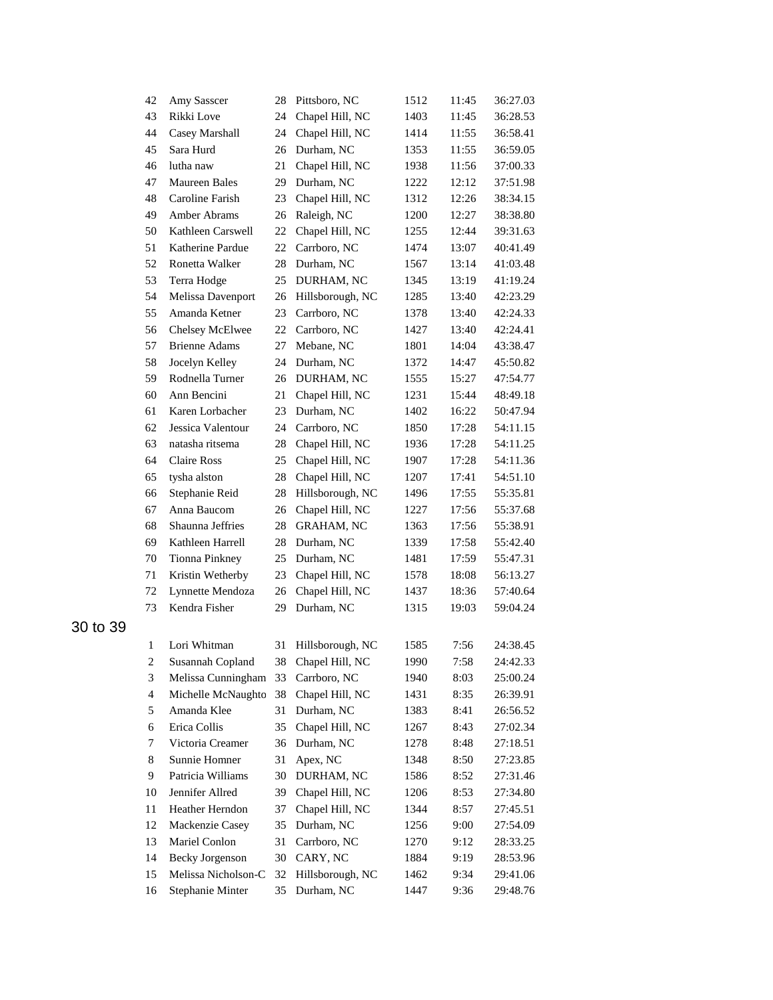| 42                           | Amy Sasscer                              | 28 | Pittsboro, NC      | 1512 | 11:45        | 36:27.03 |
|------------------------------|------------------------------------------|----|--------------------|------|--------------|----------|
| 43                           | Rikki Love                               | 24 | Chapel Hill, NC    | 1403 | 11:45        | 36:28.53 |
| 44                           | Casey Marshall                           | 24 | Chapel Hill, NC    | 1414 | 11:55        | 36:58.41 |
| 45                           | Sara Hurd                                | 26 | Durham, NC         | 1353 | 11:55        | 36:59.05 |
| 46                           | lutha naw                                | 21 | Chapel Hill, NC    | 1938 | 11:56        | 37:00.33 |
| 47                           | <b>Maureen Bales</b>                     | 29 | Durham, NC         | 1222 | 12:12        | 37:51.98 |
| 48                           | Caroline Farish                          | 23 | Chapel Hill, NC    | 1312 | 12:26        | 38:34.15 |
| 49                           | Amber Abrams                             | 26 | Raleigh, NC        | 1200 | 12:27        | 38:38.80 |
| 50                           | Kathleen Carswell                        | 22 | Chapel Hill, NC    | 1255 | 12:44        | 39:31.63 |
| 51                           | Katherine Pardue                         | 22 | Carrboro, NC       | 1474 | 13:07        | 40:41.49 |
| 52                           | Ronetta Walker                           | 28 | Durham, NC         | 1567 | 13:14        | 41:03.48 |
| 53                           | Terra Hodge                              | 25 | DURHAM, NC         | 1345 | 13:19        | 41:19.24 |
| 54                           | Melissa Davenport                        | 26 | Hillsborough, NC   | 1285 | 13:40        | 42:23.29 |
| 55                           | Amanda Ketner                            | 23 | Carrboro, NC       | 1378 | 13:40        | 42:24.33 |
| 56                           | Chelsey McElwee                          | 22 | Carrboro, NC       | 1427 | 13:40        | 42:24.41 |
| 57                           | <b>Brienne Adams</b>                     | 27 | Mebane, NC         | 1801 | 14:04        | 43:38.47 |
| 58                           | Jocelyn Kelley                           | 24 | Durham, NC         | 1372 | 14:47        | 45:50.82 |
| 59                           | Rodnella Turner                          | 26 | DURHAM, NC         | 1555 | 15:27        | 47:54.77 |
| 60                           | Ann Bencini                              | 21 | Chapel Hill, NC    | 1231 | 15:44        | 48:49.18 |
| 61                           | Karen Lorbacher                          | 23 | Durham, NC         | 1402 | 16:22        | 50:47.94 |
| 62                           | Jessica Valentour                        | 24 | Carrboro, NC       | 1850 | 17:28        | 54:11.15 |
| 63                           | natasha ritsema                          | 28 | Chapel Hill, NC    | 1936 | 17:28        | 54:11.25 |
| 64                           | <b>Claire Ross</b>                       | 25 | Chapel Hill, NC    | 1907 | 17:28        | 54:11.36 |
| 65                           | tysha alston                             | 28 | Chapel Hill, NC    | 1207 | 17:41        | 54:51.10 |
| 66                           | Stephanie Reid                           | 28 | Hillsborough, NC   | 1496 | 17:55        | 55:35.81 |
| 67                           | Anna Baucom                              | 26 | Chapel Hill, NC    | 1227 | 17:56        | 55:37.68 |
| 68                           | Shaunna Jeffries                         | 28 | <b>GRAHAM, NC</b>  | 1363 | 17:56        | 55:38.91 |
| 69                           | Kathleen Harrell                         | 28 | Durham, NC         | 1339 | 17:58        | 55:42.40 |
| 70                           | Tionna Pinkney                           | 25 | Durham, NC         | 1481 | 17:59        | 55:47.31 |
| 71                           | Kristin Wetherby                         | 23 | Chapel Hill, NC    | 1578 | 18:08        | 56:13.27 |
| 72                           | Lynnette Mendoza                         | 26 | Chapel Hill, NC    | 1437 | 18:36        | 57:40.64 |
| 73                           | Kendra Fisher                            | 29 | Durham, NC         | 1315 | 19:03        | 59:04.24 |
|                              | Lori Whitman                             |    | Hillsborough, NC   | 1585 | 7:56         | 24:38.45 |
| 1<br>$\overline{\mathbf{c}}$ | Susannah Copland                         | 31 | 38 Chapel Hill, NC | 1990 | 7:58         | 24:42.33 |
| 3                            |                                          | 33 | Carrboro, NC       | 1940 |              | 25:00.24 |
| $\overline{\mathbf{4}}$      | Melissa Cunningham<br>Michelle McNaughto | 38 | Chapel Hill, NC    | 1431 | 8:03<br>8:35 | 26:39.91 |
| 5                            | Amanda Klee                              | 31 | Durham, NC         | 1383 | 8:41         | 26:56.52 |
| 6                            | Erica Collis                             | 35 | Chapel Hill, NC    | 1267 | 8:43         | 27:02.34 |
| 7                            | Victoria Creamer                         | 36 | Durham, NC         | 1278 | 8:48         | 27:18.51 |
| 8                            | Sunnie Homner                            | 31 | Apex, NC           | 1348 | 8:50         | 27:23.85 |
| 9                            | Patricia Williams                        | 30 | DURHAM, NC         | 1586 | 8:52         | 27:31.46 |
| 10                           | Jennifer Allred                          | 39 | Chapel Hill, NC    | 1206 | 8:53         | 27:34.80 |
| 11                           | Heather Herndon                          | 37 | Chapel Hill, NC    | 1344 | 8:57         | 27:45.51 |
| 12                           | Mackenzie Casey                          | 35 | Durham, NC         | 1256 | 9:00         | 27:54.09 |
| 13                           | Mariel Conlon                            | 31 | Carrboro, NC       | 1270 | 9:12         | 28:33.25 |
| 14                           | Becky Jorgenson                          | 30 | CARY, NC           | 1884 | 9:19         | 28:53.96 |
| 15                           | Melissa Nicholson-C                      | 32 | Hillsborough, NC   | 1462 | 9:34         | 29:41.06 |
| 16                           | Stephanie Minter                         | 35 | Durham, NC         | 1447 | 9:36         | 29:48.76 |
|                              |                                          |    |                    |      |              |          |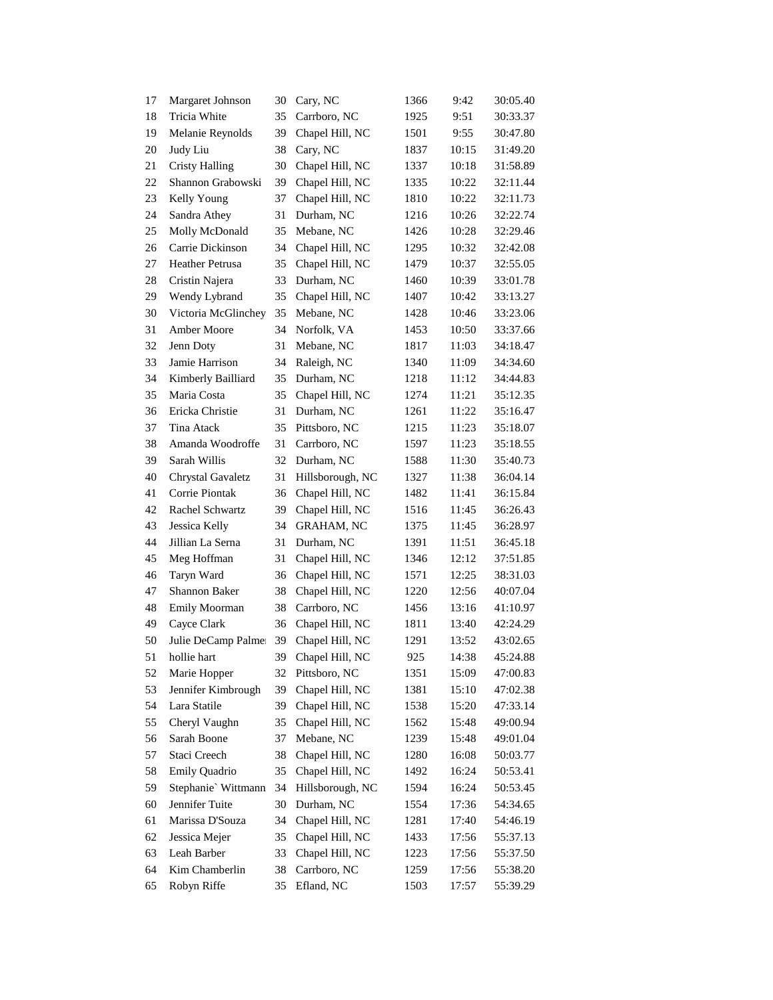| 17 | Margaret Johnson       | 30 | Cary, NC          | 1366 | 9:42  | 30:05.40 |
|----|------------------------|----|-------------------|------|-------|----------|
| 18 | Tricia White           | 35 | Carrboro, NC      | 1925 | 9:51  | 30:33.37 |
| 19 | Melanie Reynolds       | 39 | Chapel Hill, NC   | 1501 | 9:55  | 30:47.80 |
| 20 | Judy Liu               | 38 | Cary, NC          | 1837 | 10:15 | 31:49.20 |
| 21 | <b>Cristy Halling</b>  | 30 | Chapel Hill, NC   | 1337 | 10:18 | 31:58.89 |
| 22 | Shannon Grabowski      | 39 | Chapel Hill, NC   | 1335 | 10:22 | 32:11.44 |
| 23 | Kelly Young            | 37 | Chapel Hill, NC   | 1810 | 10:22 | 32:11.73 |
| 24 | Sandra Athey           | 31 | Durham, NC        | 1216 | 10:26 | 32:22.74 |
| 25 | Molly McDonald         | 35 | Mebane, NC        | 1426 | 10:28 | 32:29.46 |
| 26 | Carrie Dickinson       | 34 | Chapel Hill, NC   | 1295 | 10:32 | 32:42.08 |
| 27 | <b>Heather Petrusa</b> | 35 | Chapel Hill, NC   | 1479 | 10:37 | 32:55.05 |
| 28 | Cristin Najera         | 33 | Durham, NC        | 1460 | 10:39 | 33:01.78 |
| 29 | Wendy Lybrand          | 35 | Chapel Hill, NC   | 1407 | 10:42 | 33:13.27 |
| 30 | Victoria McGlinchey    | 35 | Mebane, NC        | 1428 | 10:46 | 33:23.06 |
| 31 | Amber Moore            | 34 | Norfolk, VA       | 1453 | 10:50 | 33:37.66 |
| 32 | Jenn Doty              | 31 | Mebane, NC        | 1817 | 11:03 | 34:18.47 |
| 33 | Jamie Harrison         | 34 | Raleigh, NC       | 1340 | 11:09 | 34:34.60 |
| 34 | Kimberly Bailliard     | 35 | Durham, NC        | 1218 | 11:12 | 34:44.83 |
| 35 | Maria Costa            | 35 | Chapel Hill, NC   | 1274 | 11:21 | 35:12.35 |
| 36 | Ericka Christie        | 31 | Durham, NC        | 1261 | 11:22 | 35:16.47 |
| 37 | Tina Atack             | 35 | Pittsboro, NC     | 1215 | 11:23 | 35:18.07 |
| 38 | Amanda Woodroffe       | 31 | Carrboro, NC      | 1597 | 11:23 | 35:18.55 |
| 39 | Sarah Willis           | 32 | Durham, NC        | 1588 | 11:30 | 35:40.73 |
| 40 | Chrystal Gavaletz      | 31 | Hillsborough, NC  | 1327 | 11:38 | 36:04.14 |
| 41 | Corrie Piontak         | 36 | Chapel Hill, NC   | 1482 | 11:41 | 36:15.84 |
| 42 | Rachel Schwartz        | 39 | Chapel Hill, NC   | 1516 | 11:45 | 36:26.43 |
| 43 | Jessica Kelly          | 34 | <b>GRAHAM, NC</b> | 1375 | 11:45 | 36:28.97 |
| 44 | Jillian La Serna       | 31 | Durham, NC        | 1391 | 11:51 | 36:45.18 |
| 45 | Meg Hoffman            | 31 | Chapel Hill, NC   | 1346 | 12:12 | 37:51.85 |
| 46 | Taryn Ward             | 36 | Chapel Hill, NC   | 1571 | 12:25 | 38:31.03 |
| 47 | <b>Shannon Baker</b>   | 38 | Chapel Hill, NC   | 1220 | 12:56 | 40:07.04 |
| 48 | Emily Moorman          | 38 | Carrboro, NC      | 1456 | 13:16 | 41:10.97 |
| 49 | Cayce Clark            | 36 | Chapel Hill, NC   | 1811 | 13:40 | 42:24.29 |
| 50 | Julie DeCamp Palmer    | 39 | Chapel Hill, NC   | 1291 | 13:52 | 43:02.65 |
| 51 | hollie hart            | 39 | Chapel Hill, NC   | 925  | 14:38 | 45:24.88 |
| 52 | Marie Hopper           | 32 | Pittsboro, NC     | 1351 | 15:09 | 47:00.83 |
| 53 | Jennifer Kimbrough     | 39 | Chapel Hill, NC   | 1381 | 15:10 | 47:02.38 |
| 54 | Lara Statile           | 39 | Chapel Hill, NC   | 1538 | 15:20 | 47:33.14 |
| 55 | Cheryl Vaughn          | 35 | Chapel Hill, NC   | 1562 | 15:48 | 49:00.94 |
| 56 | Sarah Boone            | 37 | Mebane, NC        | 1239 | 15:48 | 49:01.04 |
| 57 | Staci Creech           | 38 | Chapel Hill, NC   | 1280 | 16:08 | 50:03.77 |
| 58 | Emily Quadrio          | 35 | Chapel Hill, NC   | 1492 | 16:24 | 50:53.41 |
| 59 | Stephanie' Wittmann    | 34 | Hillsborough, NC  | 1594 | 16:24 | 50:53.45 |
| 60 | Jennifer Tuite         | 30 | Durham, NC        | 1554 | 17:36 | 54:34.65 |
| 61 | Marissa D'Souza        | 34 | Chapel Hill, NC   | 1281 | 17:40 | 54:46.19 |
| 62 | Jessica Mejer          | 35 | Chapel Hill, NC   | 1433 | 17:56 | 55:37.13 |
| 63 | Leah Barber            | 33 | Chapel Hill, NC   | 1223 | 17:56 | 55:37.50 |
| 64 | Kim Chamberlin         | 38 | Carrboro, NC      | 1259 | 17:56 | 55:38.20 |
| 65 | Robyn Riffe            | 35 | Efland, NC        | 1503 | 17:57 | 55:39.29 |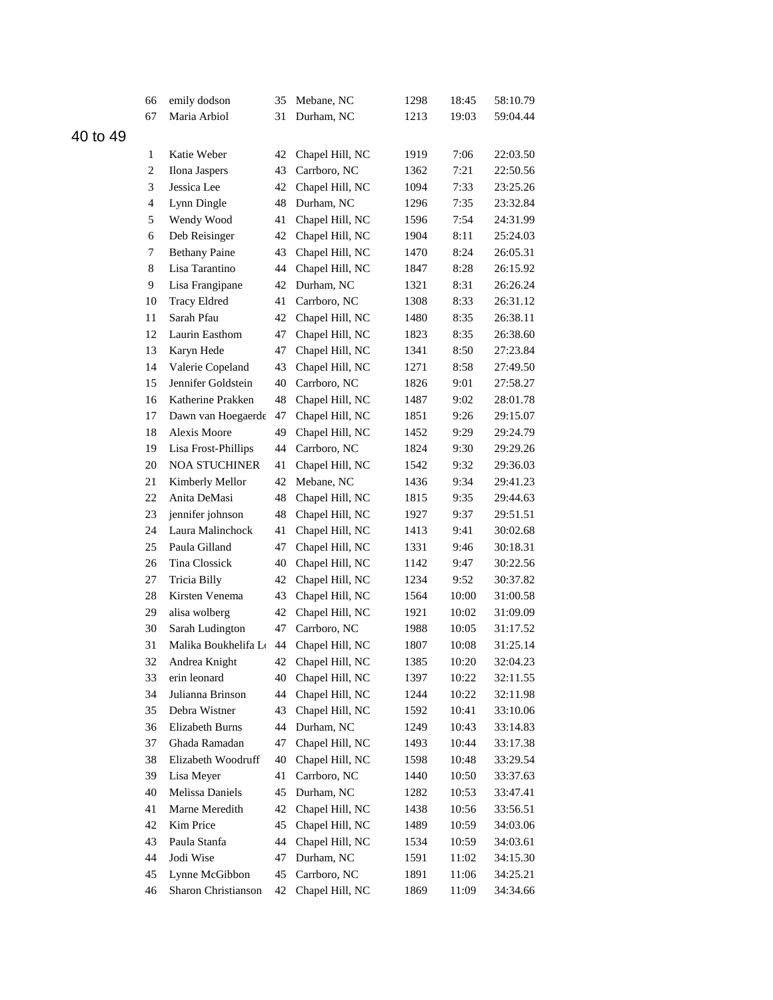|       | 66               | emily dodson           | 35 | Mebane, NC         | 1298 | 18:45 | 58:10.79 |
|-------|------------------|------------------------|----|--------------------|------|-------|----------|
|       | 67               | Maria Arbiol           | 31 | Durham, NC         | 1213 | 19:03 | 59:04.44 |
| to 49 |                  |                        |    |                    |      |       |          |
|       | 1                | Katie Weber            | 42 | Chapel Hill, NC    | 1919 | 7:06  | 22:03.50 |
|       | $\boldsymbol{2}$ | Ilona Jaspers          | 43 | Carrboro, NC       | 1362 | 7:21  | 22:50.56 |
|       | 3                | Jessica Lee            | 42 | Chapel Hill, NC    | 1094 | 7:33  | 23:25.26 |
|       | $\overline{4}$   | Lynn Dingle            | 48 | Durham, NC         | 1296 | 7:35  | 23:32.84 |
|       | 5                | Wendy Wood             | 41 | Chapel Hill, NC    | 1596 | 7:54  | 24:31.99 |
|       | 6                | Deb Reisinger          | 42 | Chapel Hill, NC    | 1904 | 8:11  | 25:24.03 |
|       | 7                | <b>Bethany Paine</b>   | 43 | Chapel Hill, NC    | 1470 | 8:24  | 26:05.31 |
|       | 8                | Lisa Tarantino         | 44 | Chapel Hill, NC    | 1847 | 8:28  | 26:15.92 |
|       | 9                | Lisa Frangipane        | 42 | Durham, NC         | 1321 | 8:31  | 26:26.24 |
|       | 10               | <b>Tracy Eldred</b>    | 41 | Carrboro, NC       | 1308 | 8:33  | 26:31.12 |
|       | 11               | Sarah Pfau             | 42 | Chapel Hill, NC    | 1480 | 8:35  | 26:38.11 |
|       | 12               | Laurin Easthom         | 47 | Chapel Hill, NC    | 1823 | 8:35  | 26:38.60 |
|       | 13               | Karyn Hede             | 47 | Chapel Hill, NC    | 1341 | 8:50  | 27:23.84 |
|       | 14               | Valerie Copeland       | 43 | Chapel Hill, NC    | 1271 | 8:58  | 27:49.50 |
|       | 15               | Jennifer Goldstein     | 40 | Carrboro, NC       | 1826 | 9:01  | 27:58.27 |
|       | 16               | Katherine Prakken      | 48 | Chapel Hill, NC    | 1487 | 9:02  | 28:01.78 |
|       | 17               | Dawn van Hoegaerde     | 47 | Chapel Hill, NC    | 1851 | 9:26  | 29:15.07 |
|       | 18               | Alexis Moore           | 49 | Chapel Hill, NC    | 1452 | 9:29  | 29:24.79 |
|       | 19               | Lisa Frost-Phillips    | 44 | Carrboro, NC       | 1824 | 9:30  | 29:29.26 |
|       | 20               | <b>NOA STUCHINER</b>   | 41 | Chapel Hill, NC    | 1542 | 9:32  | 29:36.03 |
|       | 21               | Kimberly Mellor        | 42 | Mebane, NC         | 1436 | 9:34  | 29:41.23 |
|       | 22               | Anita DeMasi           | 48 | Chapel Hill, NC    | 1815 | 9:35  | 29:44.63 |
|       | 23               | jennifer johnson       | 48 | Chapel Hill, NC    | 1927 | 9:37  | 29:51.51 |
|       | 24               | Laura Malinchock       | 41 | Chapel Hill, NC    | 1413 | 9:41  | 30:02.68 |
|       | 25               | Paula Gilland          | 47 | Chapel Hill, NC    | 1331 | 9:46  | 30:18.31 |
|       | 26               | Tina Clossick          | 40 | Chapel Hill, NC    | 1142 | 9:47  | 30:22.56 |
|       | 27               | Tricia Billy           | 42 | Chapel Hill, NC    | 1234 | 9:52  | 30:37.82 |
|       | 28               | Kirsten Venema         | 43 | Chapel Hill, NC    | 1564 | 10:00 | 31:00.58 |
|       | 29               | alisa wolberg          | 42 | Chapel Hill, NC    | 1921 | 10:02 | 31:09.09 |
|       | 30               | Sarah Ludington        | 47 | Carrboro, NC       | 1988 | 10:05 | 31:17.52 |
|       | 31               | Malika Boukhelifa L 44 |    | Chapel Hill, NC    | 1807 | 10:08 | 31:25.14 |
|       | 32               | Andrea Knight          |    | 42 Chapel Hill, NC | 1385 | 10:20 | 32:04.23 |
|       | 33               | erin leonard           | 40 | Chapel Hill, NC    | 1397 | 10:22 | 32:11.55 |
|       | 34               | Julianna Brinson       | 44 | Chapel Hill, NC    | 1244 | 10:22 | 32:11.98 |
|       | 35               | Debra Wistner          | 43 | Chapel Hill, NC    | 1592 | 10:41 | 33:10.06 |
|       | 36               | Elizabeth Burns        | 44 | Durham, NC         | 1249 | 10:43 | 33:14.83 |
|       | 37               | Ghada Ramadan          | 47 | Chapel Hill, NC    | 1493 | 10:44 | 33:17.38 |
|       | 38               | Elizabeth Woodruff     | 40 | Chapel Hill, NC    | 1598 | 10:48 | 33:29.54 |
|       | 39               | Lisa Meyer             | 41 | Carrboro, NC       | 1440 | 10:50 | 33:37.63 |
|       | 40               | <b>Melissa Daniels</b> | 45 | Durham, NC         | 1282 | 10:53 | 33:47.41 |
|       | 41               | Marne Meredith         | 42 | Chapel Hill, NC    | 1438 | 10:56 | 33:56.51 |
|       | 42               | Kim Price              | 45 | Chapel Hill, NC    | 1489 | 10:59 | 34:03.06 |
|       | 43               | Paula Stanfa           | 44 | Chapel Hill, NC    | 1534 | 10:59 | 34:03.61 |
|       | 44               | Jodi Wise              | 47 | Durham, NC         | 1591 | 11:02 | 34:15.30 |
|       | 45               | Lynne McGibbon         | 45 | Carrboro, NC       | 1891 | 11:06 | 34:25.21 |
|       | 46               | Sharon Christianson    | 42 | Chapel Hill, NC    | 1869 | 11:09 | 34:34.66 |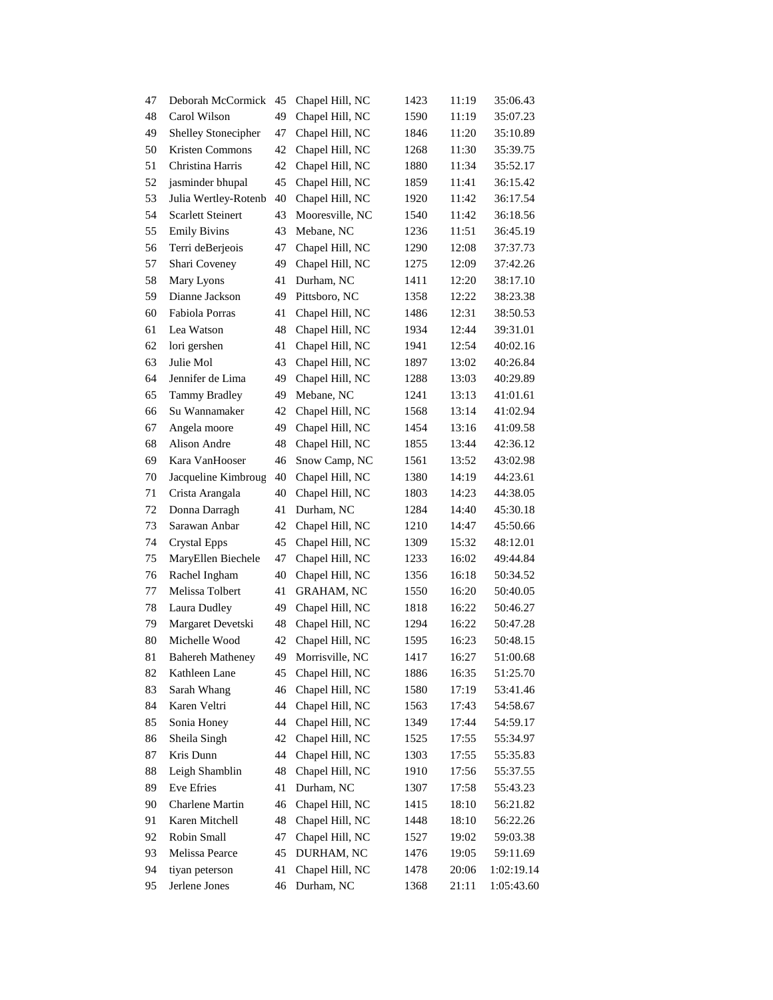| 47 | Deborah McCormick        | 45 | Chapel Hill, NC   | 1423 | 11:19 | 35:06.43   |
|----|--------------------------|----|-------------------|------|-------|------------|
| 48 | Carol Wilson             | 49 | Chapel Hill, NC   | 1590 | 11:19 | 35:07.23   |
| 49 | Shelley Stonecipher      | 47 | Chapel Hill, NC   | 1846 | 11:20 | 35:10.89   |
| 50 | Kristen Commons          | 42 | Chapel Hill, NC   | 1268 | 11:30 | 35:39.75   |
| 51 | Christina Harris         | 42 | Chapel Hill, NC   | 1880 | 11:34 | 35:52.17   |
| 52 | jasminder bhupal         | 45 | Chapel Hill, NC   | 1859 | 11:41 | 36:15.42   |
| 53 | Julia Wertley-Rotenb     | 40 | Chapel Hill, NC   | 1920 | 11:42 | 36:17.54   |
| 54 | <b>Scarlett Steinert</b> | 43 | Mooresville, NC   | 1540 | 11:42 | 36:18.56   |
| 55 | <b>Emily Bivins</b>      | 43 | Mebane, NC        | 1236 | 11:51 | 36:45.19   |
| 56 | Terri deBerjeois         | 47 | Chapel Hill, NC   | 1290 | 12:08 | 37:37.73   |
| 57 | Shari Coveney            | 49 | Chapel Hill, NC   | 1275 | 12:09 | 37:42.26   |
| 58 | Mary Lyons               | 41 | Durham, NC        | 1411 | 12:20 | 38:17.10   |
| 59 | Dianne Jackson           | 49 | Pittsboro, NC     | 1358 | 12:22 | 38:23.38   |
| 60 | Fabiola Porras           | 41 | Chapel Hill, NC   | 1486 | 12:31 | 38:50.53   |
| 61 | Lea Watson               | 48 | Chapel Hill, NC   | 1934 | 12:44 | 39:31.01   |
| 62 | lori gershen             | 41 | Chapel Hill, NC   | 1941 | 12:54 | 40:02.16   |
| 63 | Julie Mol                | 43 | Chapel Hill, NC   | 1897 | 13:02 | 40:26.84   |
| 64 | Jennifer de Lima         | 49 | Chapel Hill, NC   | 1288 | 13:03 | 40:29.89   |
| 65 | <b>Tammy Bradley</b>     | 49 | Mebane, NC        | 1241 | 13:13 | 41:01.61   |
| 66 | Su Wannamaker            | 42 | Chapel Hill, NC   | 1568 | 13:14 | 41:02.94   |
| 67 | Angela moore             | 49 | Chapel Hill, NC   | 1454 | 13:16 | 41:09.58   |
| 68 | <b>Alison Andre</b>      | 48 | Chapel Hill, NC   | 1855 | 13:44 | 42:36.12   |
| 69 | Kara VanHooser           | 46 | Snow Camp, NC     | 1561 | 13:52 | 43:02.98   |
| 70 | Jacqueline Kimbroug      | 40 | Chapel Hill, NC   | 1380 | 14:19 | 44:23.61   |
| 71 | Crista Arangala          | 40 | Chapel Hill, NC   | 1803 | 14:23 | 44:38.05   |
| 72 | Donna Darragh            | 41 | Durham, NC        | 1284 | 14:40 | 45:30.18   |
| 73 | Sarawan Anbar            | 42 | Chapel Hill, NC   | 1210 | 14:47 | 45:50.66   |
| 74 | <b>Crystal Epps</b>      | 45 | Chapel Hill, NC   | 1309 | 15:32 | 48:12.01   |
| 75 | MaryEllen Biechele       | 47 | Chapel Hill, NC   | 1233 | 16:02 | 49:44.84   |
| 76 | Rachel Ingham            | 40 | Chapel Hill, NC   | 1356 | 16:18 | 50:34.52   |
| 77 | Melissa Tolbert          | 41 | <b>GRAHAM, NC</b> | 1550 | 16:20 | 50:40.05   |
| 78 | Laura Dudley             | 49 | Chapel Hill, NC   | 1818 | 16:22 | 50:46.27   |
| 79 | Margaret Devetski        | 48 | Chapel Hill, NC   | 1294 | 16:22 | 50:47.28   |
| 80 | Michelle Wood            | 42 | Chapel Hill, NC   | 1595 | 16:23 | 50:48.15   |
| 81 | <b>Bahereh Matheney</b>  | 49 | Morrisville, NC   | 1417 | 16:27 | 51:00.68   |
| 82 | Kathleen Lane            | 45 | Chapel Hill, NC   | 1886 | 16:35 | 51:25.70   |
| 83 | Sarah Whang              | 46 | Chapel Hill, NC   | 1580 | 17:19 | 53:41.46   |
| 84 | Karen Veltri             | 44 | Chapel Hill, NC   | 1563 | 17:43 | 54:58.67   |
| 85 | Sonia Honey              | 44 | Chapel Hill, NC   | 1349 | 17:44 | 54:59.17   |
| 86 | Sheila Singh             | 42 | Chapel Hill, NC   | 1525 | 17:55 | 55:34.97   |
| 87 | Kris Dunn                | 44 | Chapel Hill, NC   | 1303 | 17:55 | 55:35.83   |
| 88 | Leigh Shamblin           | 48 | Chapel Hill, NC   | 1910 | 17:56 | 55:37.55   |
| 89 | Eve Efries               | 41 | Durham, NC        | 1307 | 17:58 | 55:43.23   |
| 90 | Charlene Martin          | 46 | Chapel Hill, NC   | 1415 | 18:10 | 56:21.82   |
| 91 | Karen Mitchell           | 48 | Chapel Hill, NC   | 1448 | 18:10 | 56:22.26   |
| 92 | Robin Small              | 47 | Chapel Hill, NC   | 1527 | 19:02 | 59:03.38   |
| 93 | Melissa Pearce           | 45 | DURHAM, NC        | 1476 | 19:05 | 59:11.69   |
| 94 | tiyan peterson           | 41 | Chapel Hill, NC   | 1478 | 20:06 | 1:02:19.14 |
| 95 | Jerlene Jones            | 46 | Durham, NC        | 1368 | 21:11 | 1:05:43.60 |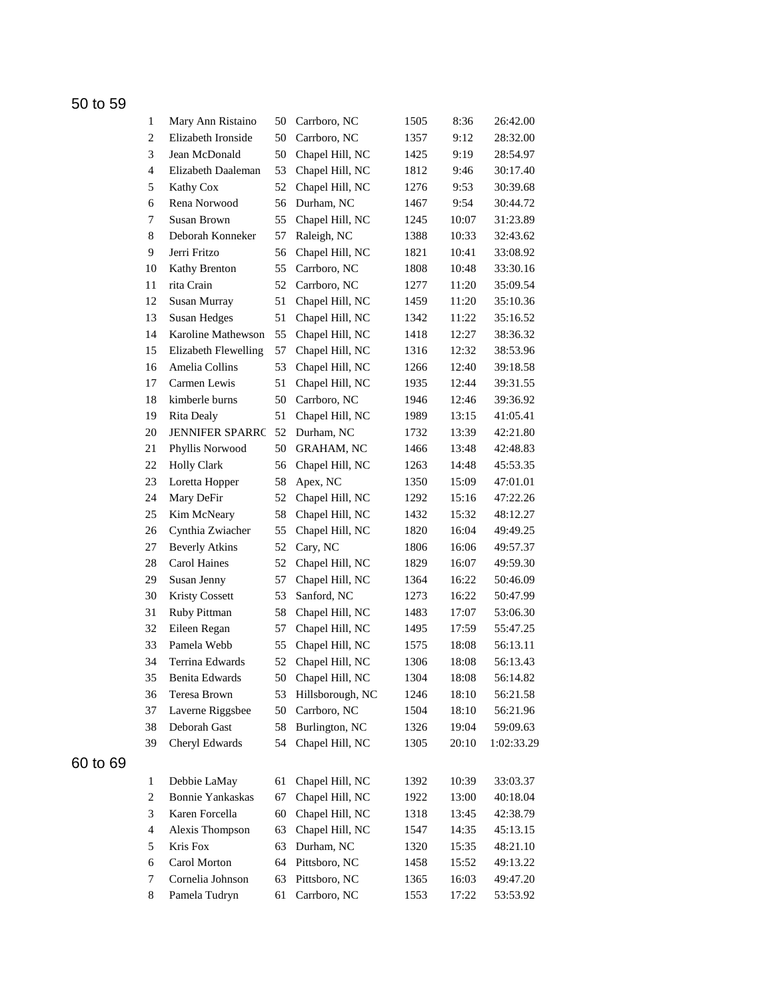| $\mathbf{1}$             | Mary Ann Ristaino       | 50 | Carrboro, NC      | 1505 | 8:36  | 26:42.00   |
|--------------------------|-------------------------|----|-------------------|------|-------|------------|
| 2                        | Elizabeth Ironside      | 50 | Carrboro, NC      | 1357 | 9:12  | 28:32.00   |
| 3                        | Jean McDonald           | 50 | Chapel Hill, NC   | 1425 | 9:19  | 28:54.97   |
| $\overline{4}$           | Elizabeth Daaleman      | 53 | Chapel Hill, NC   | 1812 | 9:46  | 30:17.40   |
| 5                        | Kathy Cox               | 52 | Chapel Hill, NC   | 1276 | 9:53  | 30:39.68   |
| 6                        | Rena Norwood            | 56 | Durham, NC        | 1467 | 9:54  | 30:44.72   |
| 7                        | Susan Brown             | 55 | Chapel Hill, NC   | 1245 | 10:07 | 31:23.89   |
| 8                        | Deborah Konneker        | 57 | Raleigh, NC       | 1388 | 10:33 | 32:43.62   |
| 9                        | Jerri Fritzo            | 56 | Chapel Hill, NC   | 1821 | 10:41 | 33:08.92   |
| 10                       | Kathy Brenton           | 55 | Carrboro, NC      | 1808 | 10:48 | 33:30.16   |
| 11                       | rita Crain              | 52 | Carrboro, NC      | 1277 | 11:20 | 35:09.54   |
| 12                       | Susan Murray            | 51 | Chapel Hill, NC   | 1459 | 11:20 | 35:10.36   |
| 13                       | <b>Susan Hedges</b>     | 51 | Chapel Hill, NC   | 1342 | 11:22 | 35:16.52   |
| 14                       | Karoline Mathewson      | 55 | Chapel Hill, NC   | 1418 | 12:27 | 38:36.32   |
| 15                       | Elizabeth Flewelling    | 57 | Chapel Hill, NC   | 1316 | 12:32 | 38:53.96   |
| 16                       | Amelia Collins          | 53 | Chapel Hill, NC   | 1266 | 12:40 | 39:18.58   |
| 17                       | Carmen Lewis            | 51 | Chapel Hill, NC   | 1935 | 12:44 | 39:31.55   |
| 18                       | kimberle burns          | 50 | Carrboro, NC      | 1946 | 12:46 | 39:36.92   |
| 19                       | <b>Rita Dealy</b>       | 51 | Chapel Hill, NC   | 1989 | 13:15 | 41:05.41   |
| 20                       | <b>JENNIFER SPARRC</b>  | 52 | Durham, NC        | 1732 | 13:39 | 42:21.80   |
| 21                       | Phyllis Norwood         | 50 | <b>GRAHAM, NC</b> | 1466 | 13:48 | 42:48.83   |
| 22                       | <b>Holly Clark</b>      | 56 | Chapel Hill, NC   | 1263 | 14:48 | 45:53.35   |
| 23                       | Loretta Hopper          | 58 | Apex, NC          | 1350 | 15:09 | 47:01.01   |
| 24                       | Mary DeFir              | 52 | Chapel Hill, NC   | 1292 | 15:16 | 47:22.26   |
| 25                       | Kim McNeary             | 58 | Chapel Hill, NC   | 1432 | 15:32 | 48:12.27   |
| 26                       | Cynthia Zwiacher        | 55 | Chapel Hill, NC   | 1820 | 16:04 | 49:49.25   |
| 27                       | <b>Beverly Atkins</b>   | 52 | Cary, NC          | 1806 | 16:06 | 49:57.37   |
| 28                       | Carol Haines            | 52 | Chapel Hill, NC   | 1829 | 16:07 | 49:59.30   |
| 29                       | Susan Jenny             | 57 | Chapel Hill, NC   | 1364 | 16:22 | 50:46.09   |
| 30                       | <b>Kristy Cossett</b>   | 53 | Sanford, NC       | 1273 | 16:22 | 50:47.99   |
| 31                       | Ruby Pittman            | 58 | Chapel Hill, NC   | 1483 | 17:07 | 53:06.30   |
| 32                       | Eileen Regan            | 57 | Chapel Hill, NC   | 1495 | 17:59 | 55:47.25   |
| 33                       | Pamela Webb             | 55 | Chapel Hill, NC   | 1575 | 18:08 | 56:13.11   |
| 34                       | Terrina Edwards         | 52 | Chapel Hill, NC   | 1306 | 18:08 | 56:13.43   |
| 35                       | Benita Edwards          | 50 | Chapel Hill, NC   | 1304 | 18:08 | 56:14.82   |
| 36                       | Teresa Brown            | 53 | Hillsborough, NC  | 1246 | 18:10 | 56:21.58   |
| 37                       | Laverne Riggsbee        | 50 | Carrboro, NC      | 1504 | 18:10 | 56:21.96   |
| 38                       | Deborah Gast            | 58 | Burlington, NC    | 1326 | 19:04 | 59:09.63   |
| 39                       | Cheryl Edwards          | 54 | Chapel Hill, NC   | 1305 | 20:10 | 1:02:33.29 |
|                          |                         |    |                   |      |       |            |
| $\mathbf{1}$             | Debbie LaMay            | 61 | Chapel Hill, NC   | 1392 | 10:39 | 33:03.37   |
| $\boldsymbol{2}$         | <b>Bonnie Yankaskas</b> | 67 | Chapel Hill, NC   | 1922 | 13:00 | 40:18.04   |
| 3                        | Karen Forcella          | 60 | Chapel Hill, NC   | 1318 | 13:45 | 42:38.79   |
| $\overline{\mathcal{A}}$ | Alexis Thompson         | 63 | Chapel Hill, NC   | 1547 | 14:35 | 45:13.15   |
| 5                        | Kris Fox                | 63 | Durham, NC        | 1320 | 15:35 | 48:21.10   |
| 6                        | Carol Morton            | 64 | Pittsboro, NC     | 1458 | 15:52 | 49:13.22   |
| 7                        | Cornelia Johnson        | 63 | Pittsboro, NC     | 1365 | 16:03 | 49:47.20   |
| 8                        | Pamela Tudryn           | 61 | Carrboro, NC      | 1553 | 17:22 | 53:53.92   |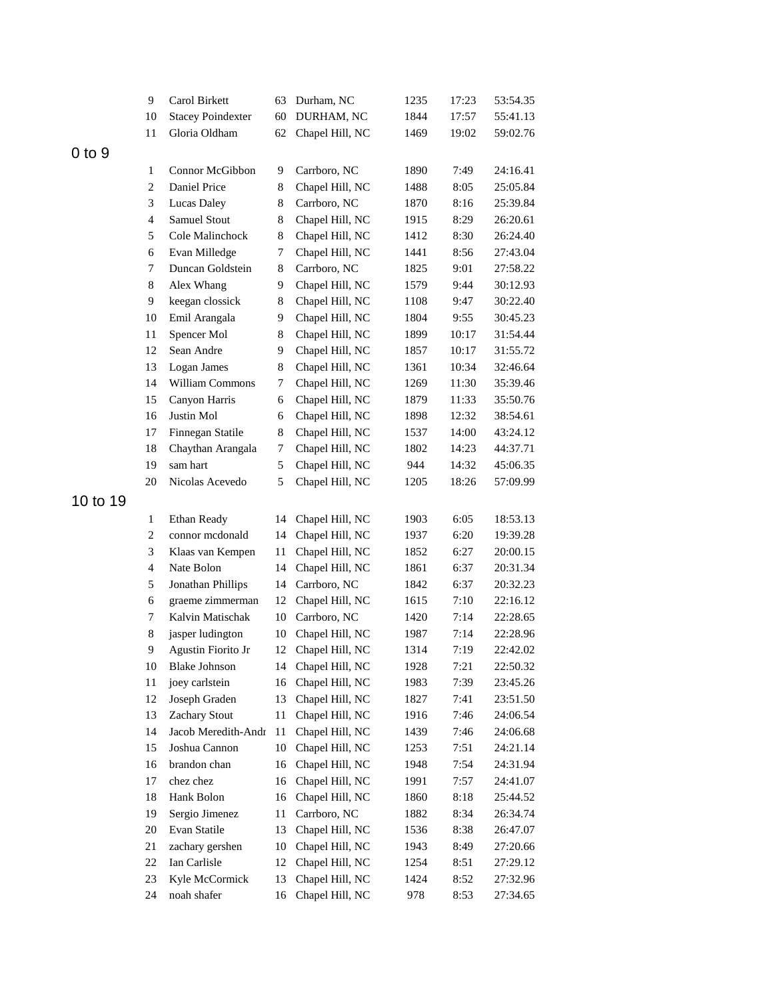|            | 9                       | Carol Birkett            | 63          | Durham, NC      | 1235 | 17:23 | 53:54.35 |
|------------|-------------------------|--------------------------|-------------|-----------------|------|-------|----------|
|            | 10                      | <b>Stacey Poindexter</b> | 60          | DURHAM, NC      | 1844 | 17:57 | 55:41.13 |
|            | 11                      | Gloria Oldham            | 62          | Chapel Hill, NC | 1469 | 19:02 | 59:02.76 |
| $0$ to $9$ |                         |                          |             |                 |      |       |          |
|            | 1                       | Connor McGibbon          | 9           | Carrboro, NC    | 1890 | 7:49  | 24:16.41 |
|            | $\sqrt{2}$              | Daniel Price             | 8           | Chapel Hill, NC | 1488 | 8:05  | 25:05.84 |
|            | 3                       | <b>Lucas Daley</b>       | 8           | Carrboro, NC    | 1870 | 8:16  | 25:39.84 |
|            | $\overline{4}$          | Samuel Stout             | $\,$ 8 $\,$ | Chapel Hill, NC | 1915 | 8:29  | 26:20.61 |
|            | 5                       | Cole Malinchock          | 8           | Chapel Hill, NC | 1412 | 8:30  | 26:24.40 |
|            | 6                       | Evan Milledge            | 7           | Chapel Hill, NC | 1441 | 8:56  | 27:43.04 |
|            | 7                       | Duncan Goldstein         | 8           | Carrboro, NC    | 1825 | 9:01  | 27:58.22 |
|            | $8\,$                   | Alex Whang               | 9           | Chapel Hill, NC | 1579 | 9:44  | 30:12.93 |
|            | 9                       | keegan clossick          | 8           | Chapel Hill, NC | 1108 | 9:47  | 30:22.40 |
|            | 10                      | Emil Arangala            | 9           | Chapel Hill, NC | 1804 | 9:55  | 30:45.23 |
|            | 11                      | Spencer Mol              | 8           | Chapel Hill, NC | 1899 | 10:17 | 31:54.44 |
|            | 12                      | Sean Andre               | 9           | Chapel Hill, NC | 1857 | 10:17 | 31:55.72 |
|            | 13                      | Logan James              | 8           | Chapel Hill, NC | 1361 | 10:34 | 32:46.64 |
|            | 14                      | William Commons          | 7           | Chapel Hill, NC | 1269 | 11:30 | 35:39.46 |
|            | 15                      | Canyon Harris            | 6           | Chapel Hill, NC | 1879 | 11:33 | 35:50.76 |
|            | 16                      | Justin Mol               | 6           | Chapel Hill, NC | 1898 | 12:32 | 38:54.61 |
|            | 17                      | Finnegan Statile         | 8           | Chapel Hill, NC | 1537 | 14:00 | 43:24.12 |
|            | 18                      | Chaythan Arangala        | 7           | Chapel Hill, NC | 1802 | 14:23 | 44:37.71 |
|            | 19                      | sam hart                 | 5           | Chapel Hill, NC | 944  | 14:32 | 45:06.35 |
|            | 20                      | Nicolas Acevedo          | 5           | Chapel Hill, NC | 1205 | 18:26 | 57:09.99 |
| 10 to 19   |                         |                          |             |                 |      |       |          |
|            | 1                       | Ethan Ready              | 14          | Chapel Hill, NC | 1903 | 6:05  | 18:53.13 |
|            | $\sqrt{2}$              | connor mcdonald          | 14          | Chapel Hill, NC | 1937 | 6:20  | 19:39.28 |
|            | 3                       | Klaas van Kempen         | 11          | Chapel Hill, NC | 1852 | 6:27  | 20:00.15 |
|            | $\overline{\mathbf{4}}$ | Nate Bolon               | 14          | Chapel Hill, NC | 1861 | 6:37  | 20:31.34 |
|            | 5                       | Jonathan Phillips        | 14          | Carrboro, NC    | 1842 | 6:37  | 20:32.23 |
|            | 6                       | graeme zimmerman         | 12          | Chapel Hill, NC | 1615 | 7:10  | 22:16.12 |
|            | 7                       | Kalvin Matischak         | 10          | Carrboro, NC    | 1420 | 7:14  | 22:28.65 |
|            | 8                       | jasper ludington         | 10          | Chapel Hill, NC | 1987 | 7:14  | 22:28.96 |
|            | 9                       | Agustin Fiorito Jr       | 12          | Chapel Hill, NC | 1314 | 7:19  | 22:42.02 |
|            | 10                      | <b>Blake Johnson</b>     | 14          | Chapel Hill, NC | 1928 | 7:21  | 22:50.32 |
|            | 11                      | joey carlstein           | 16          | Chapel Hill, NC | 1983 | 7:39  | 23:45.26 |
|            | 12                      | Joseph Graden            | 13          | Chapel Hill, NC | 1827 | 7:41  | 23:51.50 |
|            | 13                      | Zachary Stout            | 11          | Chapel Hill, NC | 1916 | 7:46  | 24:06.54 |
|            | 14                      | Jacob Meredith-Andr      | 11          | Chapel Hill, NC | 1439 | 7:46  | 24:06.68 |
|            | 15                      | Joshua Cannon            | 10          | Chapel Hill, NC | 1253 | 7:51  | 24:21.14 |
|            | 16                      | brandon chan             | 16          | Chapel Hill, NC | 1948 | 7:54  | 24:31.94 |
|            | 17                      | chez chez                | 16          | Chapel Hill, NC | 1991 | 7:57  | 24:41.07 |
|            | 18                      | Hank Bolon               | 16          | Chapel Hill, NC | 1860 | 8:18  | 25:44.52 |
|            | 19                      | Sergio Jimenez           | 11          | Carrboro, NC    | 1882 | 8:34  | 26:34.74 |
|            | 20                      | Evan Statile             | 13          | Chapel Hill, NC | 1536 | 8:38  | 26:47.07 |
|            | 21                      | zachary gershen          | 10          | Chapel Hill, NC | 1943 | 8:49  | 27:20.66 |
|            | 22                      | Ian Carlisle             | 12          | Chapel Hill, NC | 1254 | 8:51  | 27:29.12 |
|            | 23                      | Kyle McCormick           | 13          | Chapel Hill, NC | 1424 | 8:52  | 27:32.96 |
|            | 24                      | noah shafer              | 16          | Chapel Hill, NC | 978  | 8:53  | 27:34.65 |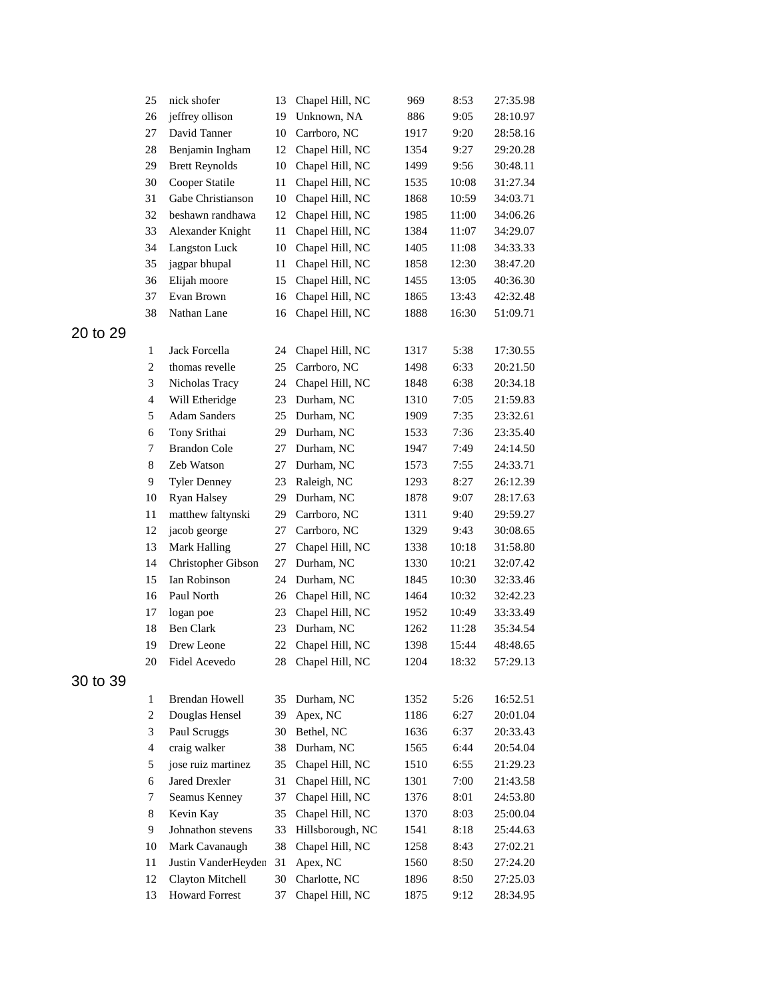| 25             | nick shofer           | 13 | Chapel Hill, NC    | 969  | 8:53  | 27:35.98 |
|----------------|-----------------------|----|--------------------|------|-------|----------|
| 26             | jeffrey ollison       | 19 | Unknown, NA        | 886  | 9:05  | 28:10.97 |
| 27             | David Tanner          | 10 | Carrboro, NC       | 1917 | 9:20  | 28:58.16 |
| 28             | Benjamin Ingham       | 12 | Chapel Hill, NC    | 1354 | 9:27  | 29:20.28 |
| 29             | <b>Brett Reynolds</b> | 10 | Chapel Hill, NC    | 1499 | 9:56  | 30:48.11 |
| 30             | Cooper Statile        | 11 | Chapel Hill, NC    | 1535 | 10:08 | 31:27.34 |
| 31             | Gabe Christianson     | 10 | Chapel Hill, NC    | 1868 | 10:59 | 34:03.71 |
| 32             | beshawn randhawa      | 12 | Chapel Hill, NC    | 1985 | 11:00 | 34:06.26 |
| 33             | Alexander Knight      | 11 | Chapel Hill, NC    | 1384 | 11:07 | 34:29.07 |
| 34             | <b>Langston Luck</b>  | 10 | Chapel Hill, NC    | 1405 | 11:08 | 34:33.33 |
| 35             | jagpar bhupal         | 11 | Chapel Hill, NC    | 1858 | 12:30 | 38:47.20 |
| 36             | Elijah moore          | 15 | Chapel Hill, NC    | 1455 | 13:05 | 40:36.30 |
| 37             | Evan Brown            | 16 | Chapel Hill, NC    | 1865 | 13:43 | 42:32.48 |
| 38             | Nathan Lane           | 16 | Chapel Hill, NC    | 1888 | 16:30 | 51:09.71 |
|                |                       |    |                    |      |       |          |
| 1              | Jack Forcella         | 24 | Chapel Hill, NC    | 1317 | 5:38  | 17:30.55 |
| 2              | thomas revelle        | 25 | Carrboro, NC       | 1498 | 6:33  | 20:21.50 |
| 3              | Nicholas Tracy        | 24 | Chapel Hill, NC    | 1848 | 6:38  | 20:34.18 |
| $\overline{4}$ | Will Etheridge        | 23 | Durham, NC         | 1310 | 7:05  | 21:59.83 |
| 5              | <b>Adam Sanders</b>   | 25 | Durham, NC         | 1909 | 7:35  | 23:32.61 |
| 6              | Tony Srithai          | 29 | Durham, NC         | 1533 | 7:36  | 23:35.40 |
| 7              | <b>Brandon Cole</b>   | 27 | Durham, NC         | 1947 | 7:49  | 24:14.50 |
| 8              | Zeb Watson            | 27 | Durham, NC         | 1573 | 7:55  | 24:33.71 |
| 9              | <b>Tyler Denney</b>   | 23 | Raleigh, NC        | 1293 | 8:27  | 26:12.39 |
| 10             | Ryan Halsey           | 29 | Durham, NC         | 1878 | 9:07  | 28:17.63 |
| 11             | matthew faltynski     | 29 | Carrboro, NC       | 1311 | 9:40  | 29:59.27 |
| 12             | jacob george          | 27 | Carrboro, NC       | 1329 | 9:43  | 30:08.65 |
| 13             | <b>Mark Halling</b>   | 27 | Chapel Hill, NC    | 1338 | 10:18 | 31:58.80 |
| 14             | Christopher Gibson    | 27 | Durham, NC         | 1330 | 10:21 | 32:07.42 |
| 15             | Ian Robinson          | 24 | Durham, NC         | 1845 | 10:30 | 32:33.46 |
| 16             | Paul North            | 26 | Chapel Hill, NC    | 1464 | 10:32 | 32:42.23 |
| 17             | logan poe             | 23 | Chapel Hill, NC    | 1952 | 10:49 | 33:33.49 |
| 18             | <b>Ben Clark</b>      | 23 | Durham, NC         | 1262 | 11:28 | 35:34.54 |
| 19             | Drew Leone            | 22 | Chapel Hill, NC    | 1398 | 15:44 | 48:48.65 |
| 20             | Fidel Acevedo         |    | 28 Chapel Hill, NC | 1204 | 18:32 | 57:29.13 |
|                |                       |    |                    |      |       |          |
| 1              | <b>Brendan Howell</b> | 35 | Durham, NC         | 1352 | 5:26  | 16:52.51 |
| 2              | Douglas Hensel        | 39 | Apex, NC           | 1186 | 6:27  | 20:01.04 |
| 3              | Paul Scruggs          | 30 | Bethel, NC         | 1636 | 6:37  | 20:33.43 |
| $\overline{4}$ | craig walker          | 38 | Durham, NC         | 1565 | 6:44  | 20:54.04 |
| 5              | jose ruiz martinez    | 35 | Chapel Hill, NC    | 1510 | 6:55  | 21:29.23 |
| 6              | Jared Drexler         | 31 | Chapel Hill, NC    | 1301 | 7:00  | 21:43.58 |
| 7              | Seamus Kenney         | 37 | Chapel Hill, NC    | 1376 | 8:01  | 24:53.80 |
| 8              | Kevin Kay             | 35 | Chapel Hill, NC    | 1370 | 8:03  | 25:00.04 |
| 9              | Johnathon stevens     | 33 | Hillsborough, NC   | 1541 | 8:18  | 25:44.63 |
| 10             | Mark Cavanaugh        | 38 | Chapel Hill, NC    | 1258 | 8:43  | 27:02.21 |
| 11             | Justin VanderHeyden   | 31 | Apex, NC           | 1560 | 8:50  | 27:24.20 |
| 12             | Clayton Mitchell      | 30 | Charlotte, NC      | 1896 | 8:50  | 27:25.03 |
| 13             | <b>Howard Forrest</b> | 37 | Chapel Hill, NC    | 1875 | 9:12  | 28:34.95 |
|                |                       |    |                    |      |       |          |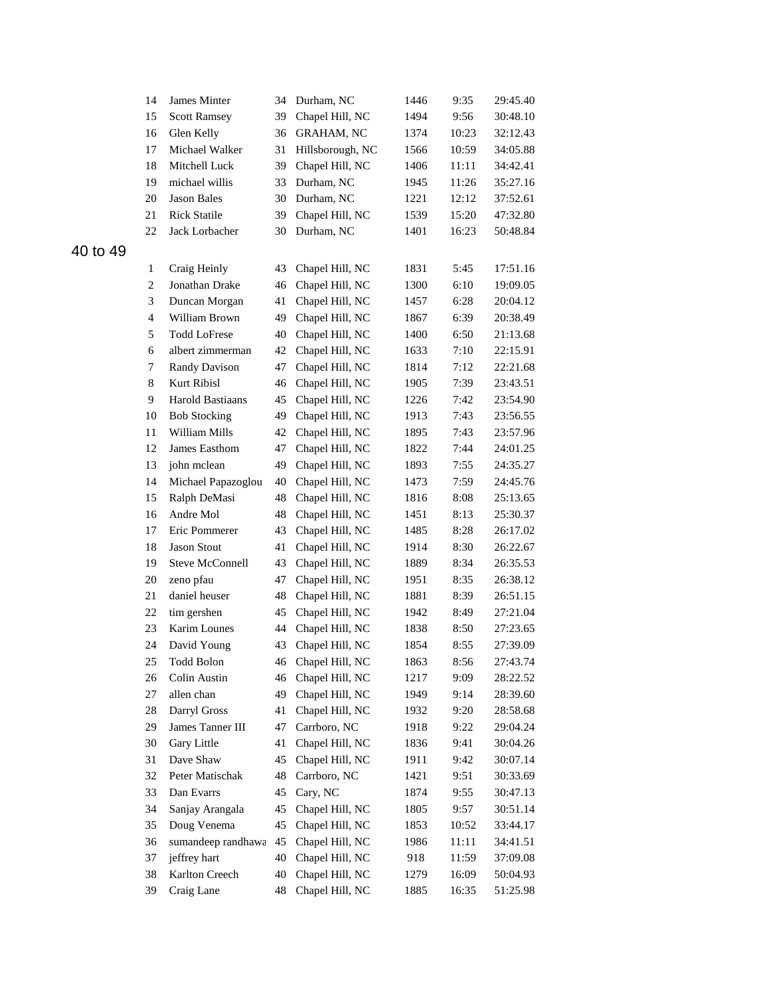| 14                  | James Minter                   | 34       | Durham, NC        | 1446 | 9:35  | 29:45.40 |
|---------------------|--------------------------------|----------|-------------------|------|-------|----------|
| 15                  | <b>Scott Ramsey</b>            | 39       | Chapel Hill, NC   | 1494 | 9:56  | 30:48.10 |
| 16                  | Glen Kelly                     | 36       | <b>GRAHAM, NC</b> | 1374 | 10:23 | 32:12.43 |
| 17                  | Michael Walker                 | 31       | Hillsborough, NC  | 1566 | 10:59 | 34:05.88 |
| 18                  | Mitchell Luck                  | 39       | Chapel Hill, NC   | 1406 | 11:11 | 34:42.41 |
| 19                  | michael willis                 | 33       | Durham, NC        | 1945 | 11:26 | 35:27.16 |
| 20                  | <b>Jason Bales</b>             | 30       | Durham, NC        | 1221 | 12:12 | 37:52.61 |
| 21                  | <b>Rick Statile</b>            | 39       | Chapel Hill, NC   | 1539 | 15:20 | 47:32.80 |
| 22                  | Jack Lorbacher                 | 30       | Durham, NC        | 1401 | 16:23 | 50:48.84 |
|                     |                                |          |                   |      |       |          |
|                     |                                |          |                   |      | 5:45  | 17:51.16 |
| 1<br>$\overline{c}$ | Craig Heinly<br>Jonathan Drake | 43<br>46 | Chapel Hill, NC   | 1831 | 6:10  |          |
|                     |                                |          | Chapel Hill, NC   | 1300 |       | 19:09.05 |
| 3                   | Duncan Morgan                  | 41       | Chapel Hill, NC   | 1457 | 6:28  | 20:04.12 |
| $\overline{4}$      | William Brown                  | 49       | Chapel Hill, NC   | 1867 | 6:39  | 20:38.49 |
| 5                   | <b>Todd LoFrese</b>            | 40       | Chapel Hill, NC   | 1400 | 6:50  | 21:13.68 |
| 6                   | albert zimmerman               | 42       | Chapel Hill, NC   | 1633 | 7:10  | 22:15.91 |
| 7                   | <b>Randy Davison</b>           | 47       | Chapel Hill, NC   | 1814 | 7:12  | 22:21.68 |
| 8                   | Kurt Ribisl                    | 46       | Chapel Hill, NC   | 1905 | 7:39  | 23:43.51 |
| 9                   | <b>Harold Bastiaans</b>        | 45       | Chapel Hill, NC   | 1226 | 7:42  | 23:54.90 |
| 10                  | <b>Bob Stocking</b>            | 49       | Chapel Hill, NC   | 1913 | 7:43  | 23:56.55 |
| 11                  | William Mills                  | 42       | Chapel Hill, NC   | 1895 | 7:43  | 23:57.96 |
| 12                  | James Easthom                  | 47       | Chapel Hill, NC   | 1822 | 7:44  | 24:01.25 |
| 13                  | john mclean                    | 49       | Chapel Hill, NC   | 1893 | 7:55  | 24:35.27 |
| 14                  | Michael Papazoglou             | 40       | Chapel Hill, NC   | 1473 | 7:59  | 24:45.76 |
| 15                  | Ralph DeMasi                   | 48       | Chapel Hill, NC   | 1816 | 8:08  | 25:13.65 |
| 16                  | Andre Mol                      | 48       | Chapel Hill, NC   | 1451 | 8:13  | 25:30.37 |
| 17                  | Eric Pommerer                  | 43       | Chapel Hill, NC   | 1485 | 8:28  | 26:17.02 |
| 18                  | <b>Jason Stout</b>             | 41       | Chapel Hill, NC   | 1914 | 8:30  | 26:22.67 |
| 19                  | <b>Steve McConnell</b>         | 43       | Chapel Hill, NC   | 1889 | 8:34  | 26:35.53 |
| 20                  | zeno pfau                      | 47       | Chapel Hill, NC   | 1951 | 8:35  | 26:38.12 |
| 21                  | daniel heuser                  | 48       | Chapel Hill, NC   | 1881 | 8:39  | 26:51.15 |
| 22                  | tim gershen                    | 45       | Chapel Hill, NC   | 1942 | 8:49  | 27:21.04 |
| 23                  | Karim Lounes                   | 44       | Chapel Hill, NC   | 1838 | 8:50  | 27:23.65 |
| 24                  | David Young                    | 43       | Chapel Hill, NC   | 1854 | 8:55  | 27:39.09 |
| 25                  | Todd Bolon                     | 46       | Chapel Hill, NC   | 1863 | 8:56  | 27:43.74 |
| 26                  | Colin Austin                   | 46       | Chapel Hill, NC   | 1217 | 9:09  | 28:22.52 |
| 27                  | allen chan                     | 49       | Chapel Hill, NC   | 1949 | 9:14  | 28:39.60 |
| $28\,$              | Darryl Gross                   | 41       | Chapel Hill, NC   | 1932 | 9:20  | 28:58.68 |
| 29                  | James Tanner III               | 47       | Carrboro, NC      | 1918 | 9:22  | 29:04.24 |
| 30                  | Gary Little                    | 41       | Chapel Hill, NC   | 1836 | 9:41  | 30:04.26 |
| 31                  | Dave Shaw                      | 45       | Chapel Hill, NC   | 1911 | 9:42  | 30:07.14 |
| 32                  | Peter Matischak                | 48       | Carrboro, NC      | 1421 | 9:51  | 30:33.69 |
| 33                  | Dan Evarrs                     | 45       | Cary, NC          | 1874 | 9:55  | 30:47.13 |
| 34                  | Sanjay Arangala                | 45       | Chapel Hill, NC   | 1805 | 9:57  | 30:51.14 |
| 35                  | Doug Venema                    | 45       | Chapel Hill, NC   | 1853 | 10:52 | 33:44.17 |
| 36                  | sumandeep randhawa             | 45       | Chapel Hill, NC   | 1986 | 11:11 | 34:41.51 |
| 37                  | jeffrey hart                   | 40       | Chapel Hill, NC   | 918  | 11:59 | 37:09.08 |
| 38                  | Karlton Creech                 | 40       | Chapel Hill, NC   | 1279 | 16:09 | 50:04.93 |
| 39                  | Craig Lane                     | 48       | Chapel Hill, NC   | 1885 | 16:35 | 51:25.98 |